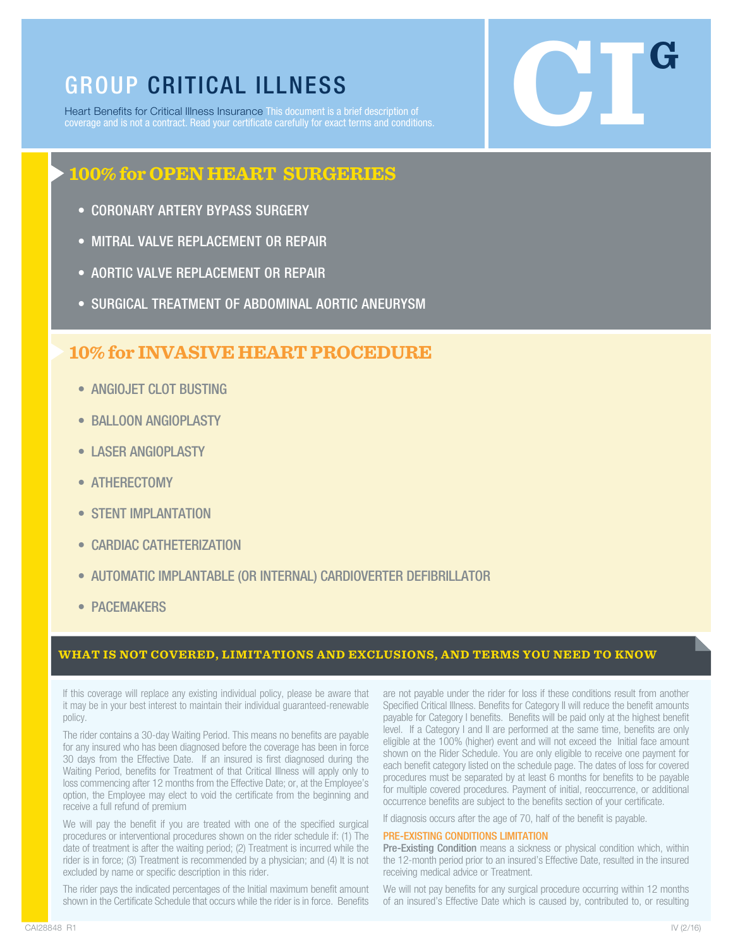GROUP CRITICAL ILLNESS<br>Heart Benefits for Critical Illness Insurance This document is a brief description of<br>coverage and is not a contract. Read your certificate carefully for exact terms and conditions. Heart Benefits for Critical Illness Insurance This document is a brief description of coverage and is not a contract. Read your certificate carefully for exact terms and conditions.

# **100% for OPEN HEART SURGERIES**

- CORONARY ARTERY BYPASS SURGERY
- MITRAL VALVE REPLACEMENT OR REPAIR
- AORTIC VALVE REPLACEMENT OR REPAIR
- SURGICAL TREATMENT OF ABDOMINAL AORTIC ANEURYSM

## **10% for INVASIVE HEART PROCEDURE**

- ANGIOJET CLOT BUSTING
- BALLOON ANGIOPLASTY
- LASER ANGIOPLASTY
- ATHERECTOMY
- STENT IMPLANTATION
- CARDIAC CATHETERIZATION
- AUTOMATIC IMPLANTABLE (OR INTERNAL) CARDIOVERTER DEFIBRILLATOR
- PACEMAKERS

### **WHAT IS NOT COVERED, LIMITATIONS AND EXCLUSIONS, AND TERMS YOU NEED TO KNOW**

If this coverage will replace any existing individual policy, please be aware that it may be in your best interest to maintain their individual guaranteed-renewable policy.

The rider contains a 30-day Waiting Period. This means no benefits are payable for any insured who has been diagnosed before the coverage has been in force 30 days from the Effective Date. If an insured is first diagnosed during the Waiting Period, benefits for Treatment of that Critical Illness will apply only to loss commencing after 12 months from the Effective Date; or, at the Employee's option, the Employee may elect to void the certificate from the beginning and receive a full refund of premium

We will pay the benefit if you are treated with one of the specified surgical procedures or interventional procedures shown on the rider schedule if: (1) The date of treatment is after the waiting period; (2) Treatment is incurred while the rider is in force; (3) Treatment is recommended by a physician; and (4) It is not excluded by name or specific description in this rider.

The rider pays the indicated percentages of the Initial maximum benefit amount shown in the Certificate Schedule that occurs while the rider is in force. Benefits

are not payable under the rider for loss if these conditions result from another Specified Critical Illness. Benefits for Category II will reduce the benefit amounts payable for Category I benefits. Benefits will be paid only at the highest benefit level. If a Category I and II are performed at the same time, benefits are only eligible at the 100% (higher) event and will not exceed the Initial face amount shown on the Rider Schedule. You are only eligible to receive one payment for each benefit category listed on the schedule page. The dates of loss for covered procedures must be separated by at least 6 months for benefits to be payable for multiple covered procedures. Payment of initial, reoccurrence, or additional occurrence benefits are subject to the benefits section of your certificate.

If diagnosis occurs after the age of 70, half of the benefit is payable.

#### PRE-EXISTING CONDITIONS LIMITATION

Pre-Existing Condition means a sickness or physical condition which, within the 12-month period prior to an insured's Effective Date, resulted in the insured receiving medical advice or Treatment.

We will not pay benefits for any surgical procedure occurring within 12 months of an insured's Effective Date which is caused by, contributed to, or resulting